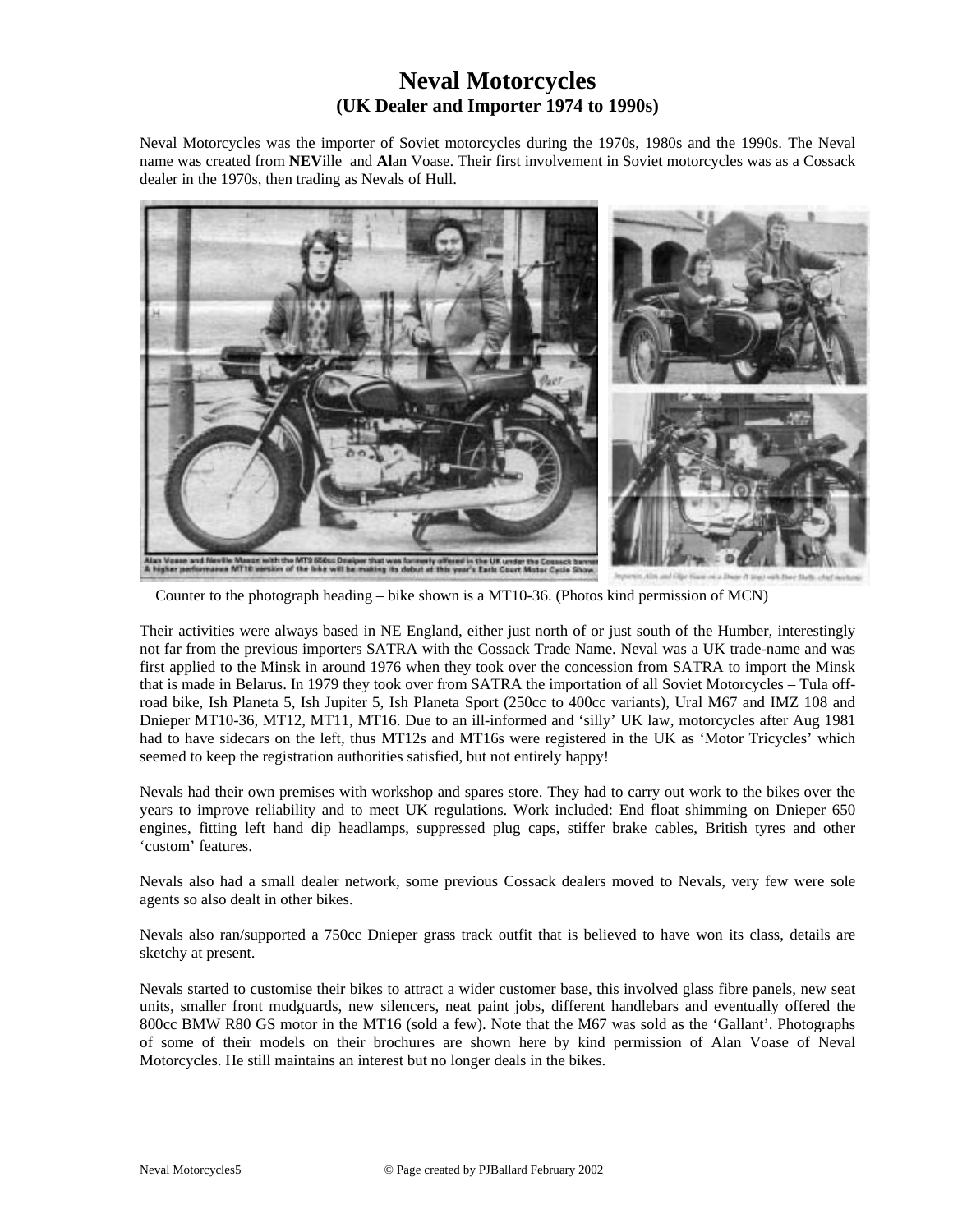## **Neval Motorcycles (UK Dealer and Importer 1974 to 1990s)**

Neval Motorcycles was the importer of Soviet motorcycles during the 1970s, 1980s and the 1990s. The Neval name was created from **NEV**ille and **Al**an Voase. Their first involvement in Soviet motorcycles was as a Cossack dealer in the 1970s, then trading as Nevals of Hull.



Counter to the photograph heading – bike shown is a MT10-36. (Photos kind permission of MCN)

Their activities were always based in NE England, either just north of or just south of the Humber, interestingly not far from the previous importers SATRA with the Cossack Trade Name. Neval was a UK trade-name and was first applied to the Minsk in around 1976 when they took over the concession from SATRA to import the Minsk that is made in Belarus. In 1979 they took over from SATRA the importation of all Soviet Motorcycles – Tula offroad bike, Ish Planeta 5, Ish Jupiter 5, Ish Planeta Sport (250cc to 400cc variants), Ural M67 and IMZ 108 and Dnieper MT10-36, MT12, MT11, MT16. Due to an ill-informed and 'silly' UK law, motorcycles after Aug 1981 had to have sidecars on the left, thus MT12s and MT16s were registered in the UK as 'Motor Tricycles' which seemed to keep the registration authorities satisfied, but not entirely happy!

Nevals had their own premises with workshop and spares store. They had to carry out work to the bikes over the years to improve reliability and to meet UK regulations. Work included: End float shimming on Dnieper 650 engines, fitting left hand dip headlamps, suppressed plug caps, stiffer brake cables, British tyres and other 'custom' features.

Nevals also had a small dealer network, some previous Cossack dealers moved to Nevals, very few were sole agents so also dealt in other bikes.

Nevals also ran/supported a 750cc Dnieper grass track outfit that is believed to have won its class, details are sketchy at present.

Nevals started to customise their bikes to attract a wider customer base, this involved glass fibre panels, new seat units, smaller front mudguards, new silencers, neat paint jobs, different handlebars and eventually offered the 800cc BMW R80 GS motor in the MT16 (sold a few). Note that the M67 was sold as the 'Gallant'. Photographs of some of their models on their brochures are shown here by kind permission of Alan Voase of Neval Motorcycles. He still maintains an interest but no longer deals in the bikes.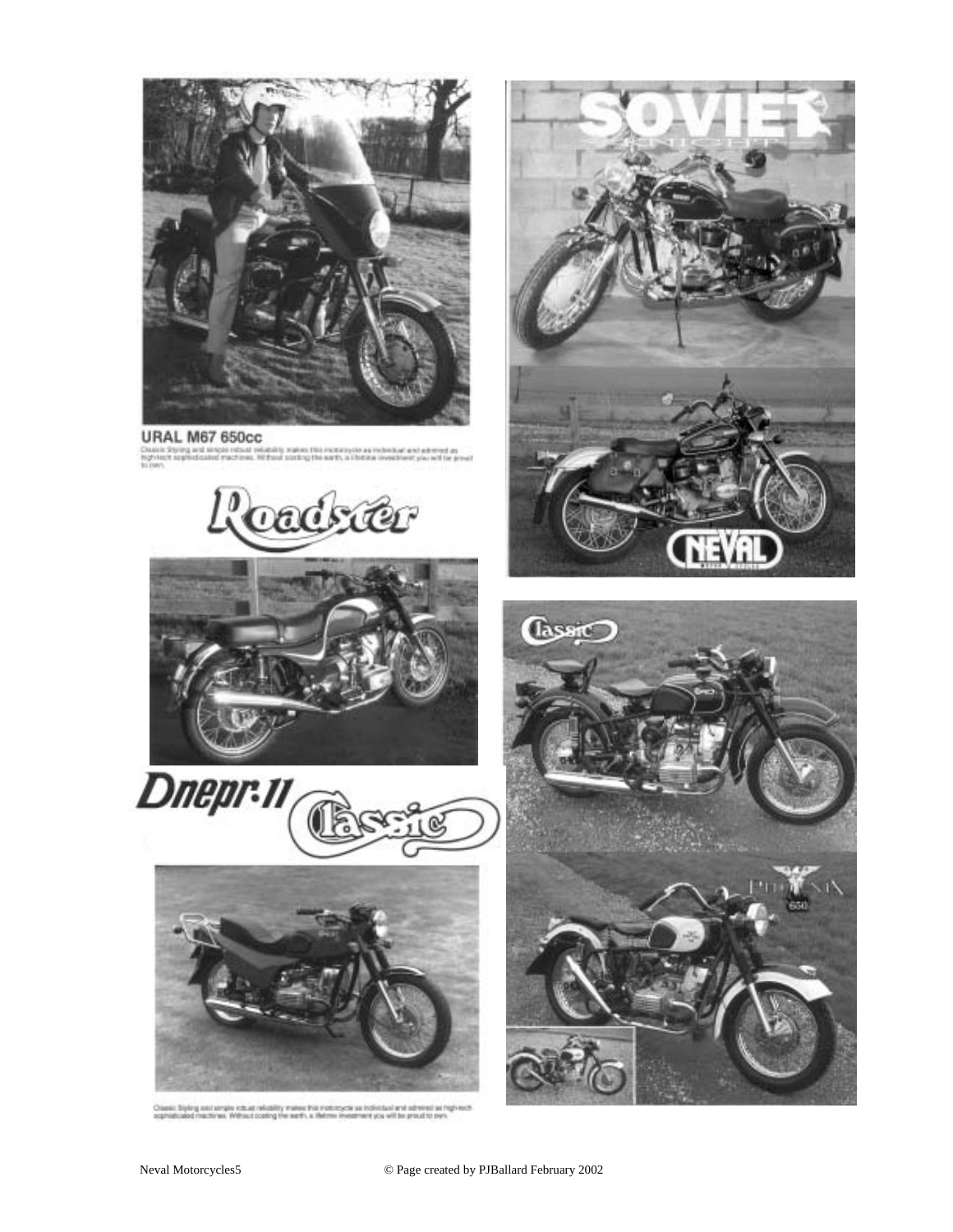

### **URAL M67 650cc**

Classic Styling and simple rebust relativity<br>fightest replications machines. Hi from<br>fix rows  $m$  18 Em







at wildfilly makes the notice year olderbani and school at high-tech<br>clossing the earth, a theorem investment you will be preud to over



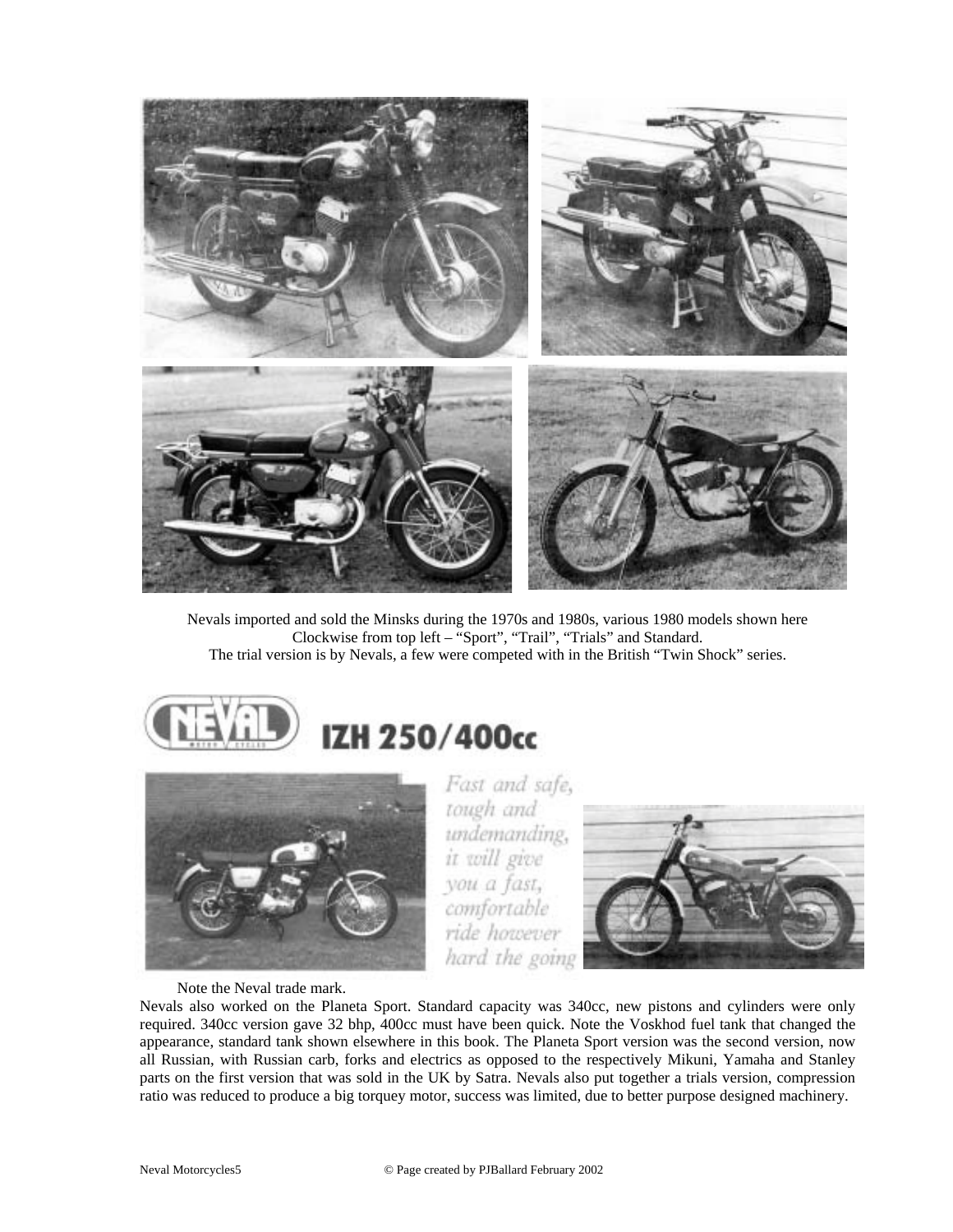

Nevals imported and sold the Minsks during the 1970s and 1980s, various 1980 models shown here Clockwise from top left – "Sport", "Trail", "Trials" and Standard. The trial version is by Nevals, a few were competed with in the British "Twin Shock" series.





Note the Neval trade mark.

Fast and safe, tough and undemanding, it will give you a fast, comfortable ride however hard the going



Nevals also worked on the Planeta Sport. Standard capacity was 340cc, new pistons and cylinders were only required. 340cc version gave 32 bhp, 400cc must have been quick. Note the Voskhod fuel tank that changed the appearance, standard tank shown elsewhere in this book. The Planeta Sport version was the second version, now all Russian, with Russian carb, forks and electrics as opposed to the respectively Mikuni, Yamaha and Stanley parts on the first version that was sold in the UK by Satra. Nevals also put together a trials version, compression ratio was reduced to produce a big torquey motor, success was limited, due to better purpose designed machinery.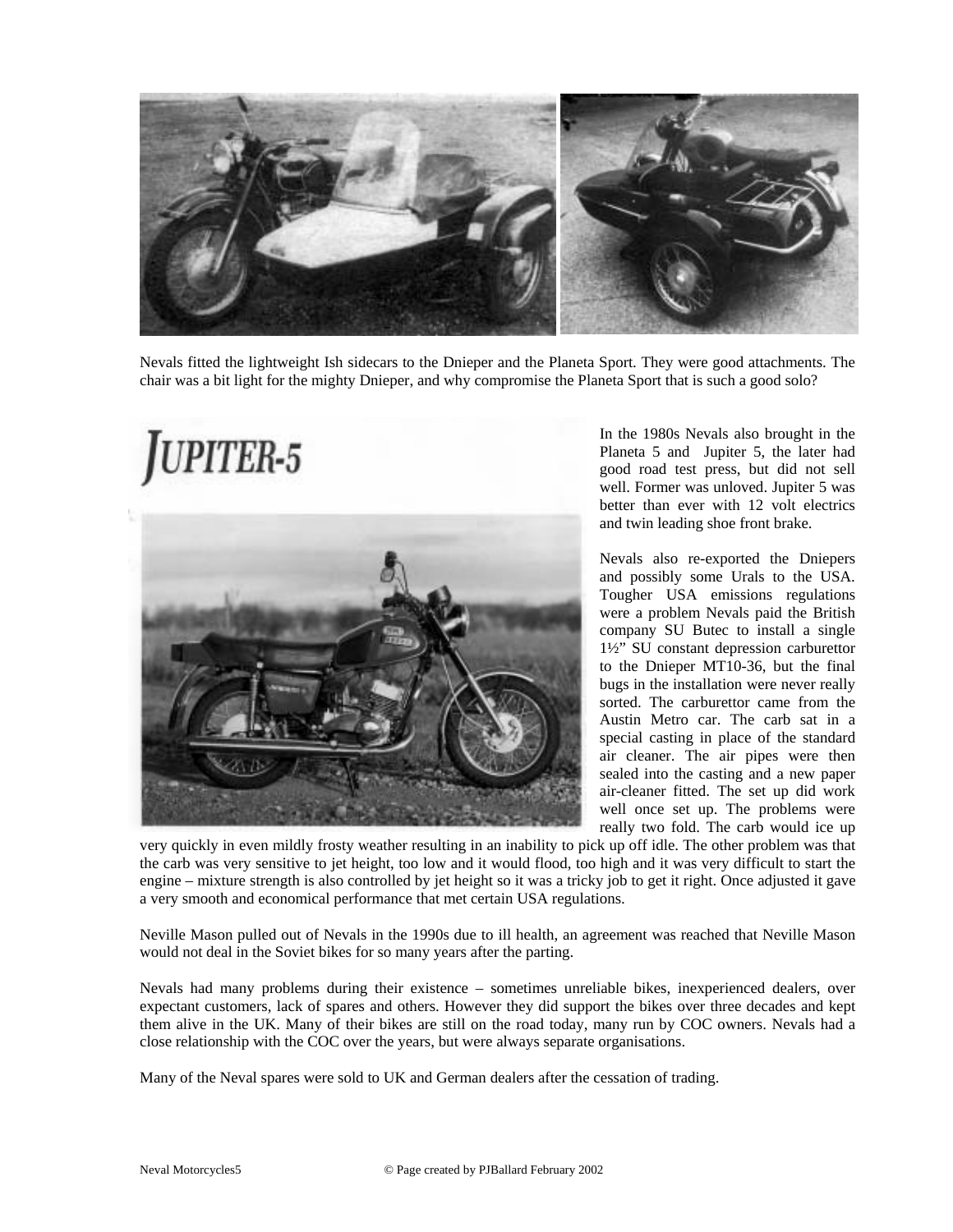

Nevals fitted the lightweight Ish sidecars to the Dnieper and the Planeta Sport. They were good attachments. The chair was a bit light for the mighty Dnieper, and why compromise the Planeta Sport that is such a good solo?



In the 1980s Nevals also brought in the Planeta 5 and Jupiter 5, the later had good road test press, but did not sell well. Former was unloved. Jupiter 5 was better than ever with 12 volt electrics and twin leading shoe front brake.

Nevals also re-exported the Dniepers and possibly some Urals to the USA. Tougher USA emissions regulations were a problem Nevals paid the British company SU Butec to install a single 1½" SU constant depression carburettor to the Dnieper MT10-36, but the final bugs in the installation were never really sorted. The carburettor came from the Austin Metro car. The carb sat in a special casting in place of the standard air cleaner. The air pipes were then sealed into the casting and a new paper air-cleaner fitted. The set up did work well once set up. The problems were really two fold. The carb would ice up

very quickly in even mildly frosty weather resulting in an inability to pick up off idle. The other problem was that the carb was very sensitive to jet height, too low and it would flood, too high and it was very difficult to start the engine – mixture strength is also controlled by jet height so it was a tricky job to get it right. Once adjusted it gave a very smooth and economical performance that met certain USA regulations.

Neville Mason pulled out of Nevals in the 1990s due to ill health, an agreement was reached that Neville Mason would not deal in the Soviet bikes for so many years after the parting.

Nevals had many problems during their existence – sometimes unreliable bikes, inexperienced dealers, over expectant customers, lack of spares and others. However they did support the bikes over three decades and kept them alive in the UK. Many of their bikes are still on the road today, many run by COC owners. Nevals had a close relationship with the COC over the years, but were always separate organisations.

Many of the Neval spares were sold to UK and German dealers after the cessation of trading.